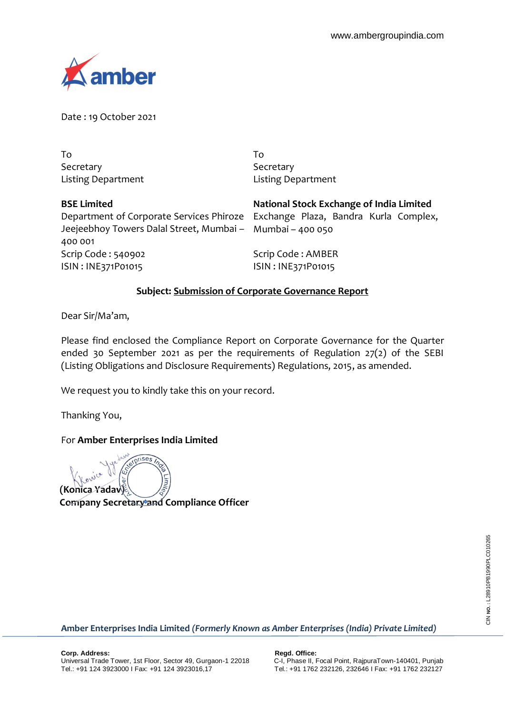

Date : 19 October 2021

To Secretary Listing Department

To Secretary Listing Department

Scrip Code : 540902 ISIN : INE371P01015 **BSE Limited**  Department of Corporate Services Phiroze Jeejeebhoy Towers Dalal Street, Mumbai – 400 001

**National Stock Exchange of India Limited**

Exchange Plaza, Bandra Kurla Complex, Mumbai – 400 050

Scrip Code : AMBER ISIN : INE371P01015

# **Subject: Submission of Corporate Governance Report**

Dear Sir/Ma'am,

Please find enclosed the Compliance Report on Corporate Governance for the Quarter ended 30 September 2021 as per the requirements of Regulation 27(2) of the SEBI (Listing Obligations and Disclosure Requirements) Regulations, 2015, as amended.

We request you to kindly take this on your record.

Thanking You,

## For **Amber Enterprises India Limited**

stprises Ξ **(Konica Yadav)**

**Company Secretary and Compliance Officer**

**Amber Enterprises India Limited** *(Formerly Known as Amber Enterprises (India) Private Limited)*

CIN NO.: L28910PB1990PLC010265 CIN **NO. :** L28910PB1990PLC010265

**Corp. Address:** Regd. Office: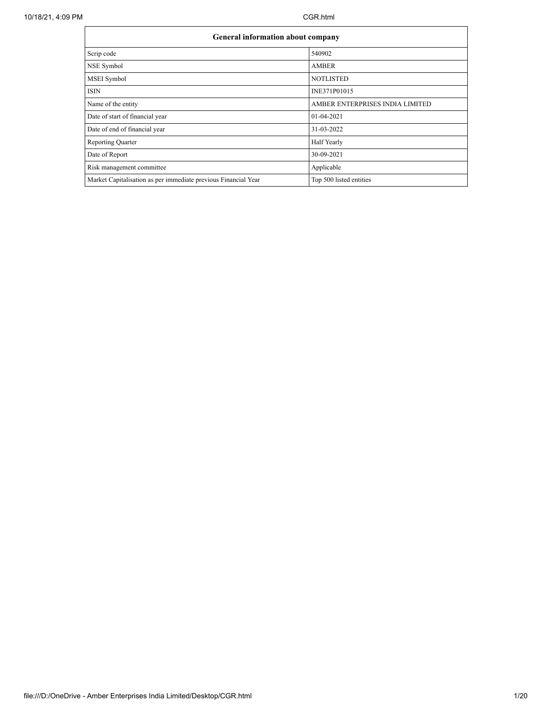| <b>General information about company</b>                       |                                 |
|----------------------------------------------------------------|---------------------------------|
| Scrip code                                                     | 540902                          |
| NSE Symbol                                                     | <b>AMBER</b>                    |
| MSEI Symbol                                                    | <b>NOTLISTED</b>                |
| <b>ISIN</b>                                                    | INE371P01015                    |
| Name of the entity                                             | AMBER ENTERPRISES INDIA LIMITED |
| Date of start of financial year                                | 01-04-2021                      |
| Date of end of financial year                                  | 31-03-2022                      |
| <b>Reporting Quarter</b>                                       | Half Yearly                     |
| Date of Report                                                 | 30-09-2021                      |
| Risk management committee                                      | Applicable                      |
| Market Capitalisation as per immediate previous Financial Year | Top 500 listed entities         |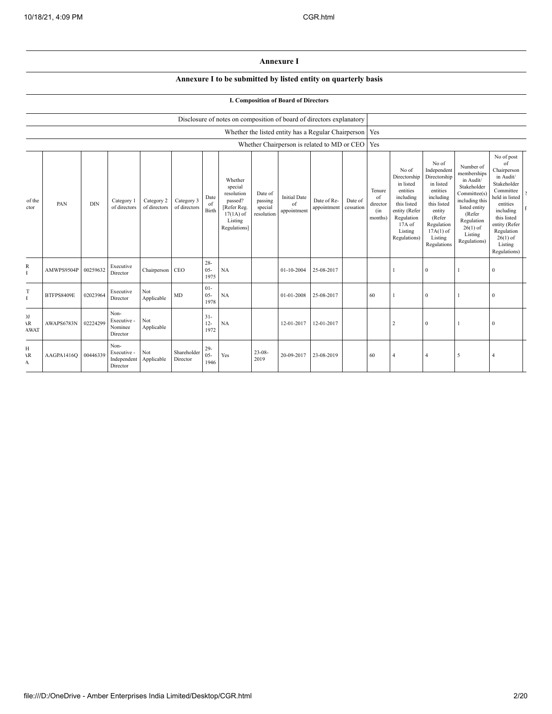#### **Annexure I**

### **Annexure I to be submitted by listed entity on quarterly basis**

### **I. Composition of Board of Directors**

|                                     |                   |            |                                                |                            |                            |                          | Disclosure of notes on composition of board of directors explanatory                                 |                                             |                                          |                                                           |                      |                                            |                                                                                                                                                |                                                                                                                                                                      |                                                                                                                                                                          |                                                                                                                                                                                                            |  |
|-------------------------------------|-------------------|------------|------------------------------------------------|----------------------------|----------------------------|--------------------------|------------------------------------------------------------------------------------------------------|---------------------------------------------|------------------------------------------|-----------------------------------------------------------|----------------------|--------------------------------------------|------------------------------------------------------------------------------------------------------------------------------------------------|----------------------------------------------------------------------------------------------------------------------------------------------------------------------|--------------------------------------------------------------------------------------------------------------------------------------------------------------------------|------------------------------------------------------------------------------------------------------------------------------------------------------------------------------------------------------------|--|
|                                     |                   |            |                                                |                            |                            |                          |                                                                                                      |                                             |                                          | Whether the listed entity has a Regular Chairperson   Yes |                      |                                            |                                                                                                                                                |                                                                                                                                                                      |                                                                                                                                                                          |                                                                                                                                                                                                            |  |
|                                     |                   |            |                                                |                            |                            |                          |                                                                                                      |                                             |                                          | Whether Chairperson is related to MD or CEO Yes           |                      |                                            |                                                                                                                                                |                                                                                                                                                                      |                                                                                                                                                                          |                                                                                                                                                                                                            |  |
| of the<br>ctor                      | PAN               | <b>DIN</b> | Category 1<br>of directors                     | Category 2<br>of directors | Category 3<br>of directors | Date<br>of<br>Birth      | Whether<br>special<br>resolution<br>passed?<br>[Refer Reg.<br>$17(1A)$ of<br>Listing<br>Regulations] | Date of<br>passing<br>special<br>resolution | <b>Initial Date</b><br>of<br>appointment | Date of Re-<br>appointment                                | Date of<br>cessation | Tenure<br>of<br>director<br>(in<br>months) | No of<br>Directorship<br>in listed<br>entities<br>including<br>this listed<br>entity (Refer<br>Regulation<br>17A of<br>Listing<br>Regulations) | No of<br>Independent<br>Directorship<br>in listed<br>entities<br>including<br>this listed<br>entity<br>(Refer<br>Regulation<br>$17A(1)$ of<br>Listing<br>Regulations | Number of<br>memberships<br>in Audit/<br>Stakeholder<br>Committee(s)<br>including this<br>listed entity<br>(Refer<br>Regulation<br>$26(1)$ of<br>Listing<br>Regulations) | No of post<br>of<br>Chairperson<br>in Audit/<br>Stakeholder<br>Committee<br>held in listed<br>entities<br>including<br>this listed<br>entity (Refer<br>Regulation<br>$26(1)$ of<br>Listing<br>Regulations) |  |
| R<br>Ŧ                              | AMWPS9504P        | 00259632   | Executive<br>Director                          | Chairperson CEO            |                            | $28 -$<br>$05 -$<br>1975 | NA                                                                                                   |                                             | 01-10-2004                               | 25-08-2017                                                |                      |                                            |                                                                                                                                                | $\boldsymbol{0}$                                                                                                                                                     |                                                                                                                                                                          | $\bf{0}$                                                                                                                                                                                                   |  |
| T<br>$\mathbf{I}$                   | <b>BTFPS8409E</b> | 02023964   | Executive<br>Director                          | Not<br>Applicable          | MD                         | $01 -$<br>$05 -$<br>1978 | NA                                                                                                   |                                             | 01-01-2008                               | 25-08-2017                                                |                      | 60                                         |                                                                                                                                                | $\mathbf{0}$                                                                                                                                                         |                                                                                                                                                                          | $\mathbf{0}$                                                                                                                                                                                               |  |
| J <sub>J</sub><br>١R<br><b>AWAT</b> | AWAPS6783N        | 02224299   | Non-<br>Executive -<br>Nominee<br>Director     | Not<br>Applicable          |                            | $31 -$<br>$12 -$<br>1972 | <b>NA</b>                                                                                            |                                             | 12-01-2017                               | 12-01-2017                                                |                      |                                            |                                                                                                                                                | $\boldsymbol{0}$                                                                                                                                                     |                                                                                                                                                                          | $\theta$                                                                                                                                                                                                   |  |
| H<br>$\overline{R}$<br>A            | AAGPA1416Q        | 00446339   | Non-<br>Executive -<br>Independent<br>Director | Not<br>Applicable          | Shareholder<br>Director    | $29 -$<br>$05 -$<br>1946 | Yes                                                                                                  | $23 - 08$<br>2019                           | 20-09-2017                               | 23-08-2019                                                |                      | 60                                         |                                                                                                                                                | $\overline{4}$                                                                                                                                                       | 5                                                                                                                                                                        | $\overline{4}$                                                                                                                                                                                             |  |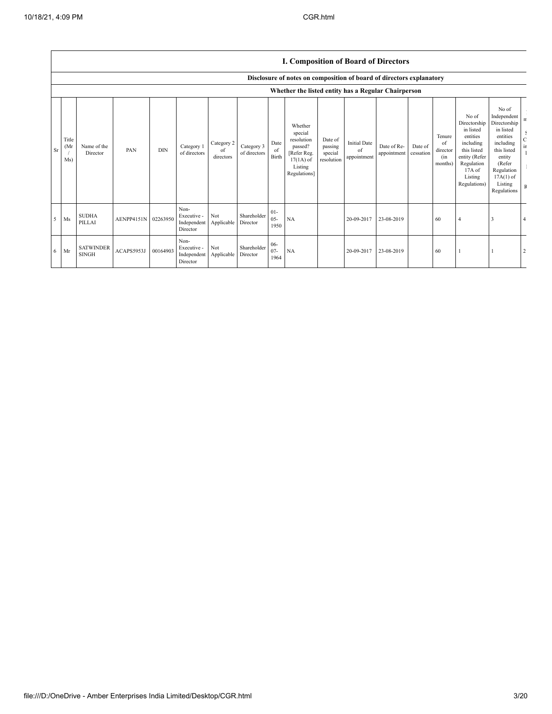|    |                     | L. Composition of Doard of Directors |                     |            |                                                |                               |                            |                          |                                                                                                      |                                             |                                          |                            |                      |                                            |                                                                                                                                                |                                                                                                                                                                      |                                                                                      |
|----|---------------------|--------------------------------------|---------------------|------------|------------------------------------------------|-------------------------------|----------------------------|--------------------------|------------------------------------------------------------------------------------------------------|---------------------------------------------|------------------------------------------|----------------------------|----------------------|--------------------------------------------|------------------------------------------------------------------------------------------------------------------------------------------------|----------------------------------------------------------------------------------------------------------------------------------------------------------------------|--------------------------------------------------------------------------------------|
|    |                     |                                      |                     |            |                                                |                               |                            |                          | Disclosure of notes on composition of board of directors explanatory                                 |                                             |                                          |                            |                      |                                            |                                                                                                                                                |                                                                                                                                                                      |                                                                                      |
|    |                     |                                      |                     |            |                                                |                               |                            |                          | Whether the listed entity has a Regular Chairperson                                                  |                                             |                                          |                            |                      |                                            |                                                                                                                                                |                                                                                                                                                                      |                                                                                      |
| Sr | Title<br>(Mr<br>Ms) | Name of the<br>Director              | PAN                 | <b>DIN</b> | Category 1<br>of directors                     | Category 2<br>of<br>directors | Category 3<br>of directors | Date<br>of<br>Birth      | Whether<br>special<br>resolution<br>passed?<br>[Refer Reg.<br>$17(1A)$ of<br>Listing<br>Regulations] | Date of<br>passing<br>special<br>resolution | <b>Initial Date</b><br>of<br>appointment | Date of Re-<br>appointment | Date of<br>cessation | Tenure<br>of<br>director<br>(in<br>months) | No of<br>Directorship<br>in listed<br>entities<br>including<br>this listed<br>entity (Refer<br>Regulation<br>17A of<br>Listing<br>Regulations) | No of<br>Independent<br>Directorship<br>in listed<br>entities<br>including<br>this listed<br>entity<br>(Refer<br>Regulation<br>$17A(1)$ of<br>Listing<br>Regulations | $\mathbf n$<br>$\mathop{\rm c}\limits^{\mathbb{S}}$<br>$\rm \dot{m}$<br>$\, {\bf F}$ |
| 5  | Ms                  | <b>SUDHA</b><br>PILLAI               | AENPP4151N 02263950 |            | Non-<br>Executive -<br>Independent<br>Director | Not<br>Applicable             | Shareholder<br>Director    | $01-$<br>$05 -$<br>1950  | <b>NA</b>                                                                                            |                                             | 20-09-2017                               | 23-08-2019                 |                      | 60                                         | $\overline{4}$                                                                                                                                 | 3                                                                                                                                                                    |                                                                                      |
| 6  | Mr                  | <b>SATWINDER</b><br><b>SINGH</b>     | ACAPS5953J          | 00164903   | Non-<br>Executive -<br>Independent<br>Director | Not<br>Applicable             | Shareholder<br>Director    | $06 -$<br>$07 -$<br>1964 | NA                                                                                                   |                                             | 20-09-2017                               | 23-08-2019                 |                      | 60                                         |                                                                                                                                                |                                                                                                                                                                      |                                                                                      |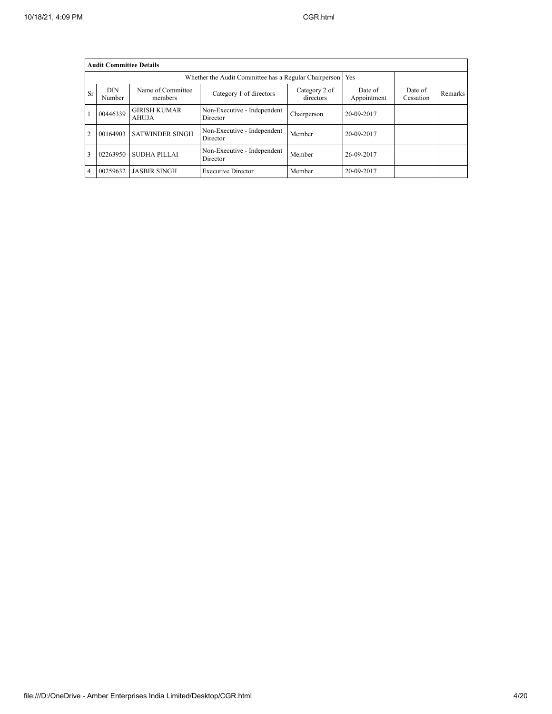|                | <b>Audit Committee Details</b> |                              |                                         |             |            |  |  |
|----------------|--------------------------------|------------------------------|-----------------------------------------|-------------|------------|--|--|
|                |                                | Yes                          |                                         |             |            |  |  |
| Sr             | <b>DIN</b><br>Number           | Date of<br>Cessation         | Remarks                                 |             |            |  |  |
|                | 00446339                       | <b>GIRISH KUMAR</b><br>AHUJA | Non-Executive - Independent<br>Director | Chairperson | 20-09-2017 |  |  |
| $\overline{c}$ | 00164903                       | <b>SATWINDER SINGH</b>       | Non-Executive - Independent<br>Director | Member      | 20-09-2017 |  |  |
| 3              | 02263950                       | SUDHA PILLAI                 | Non-Executive - Independent<br>Director | Member      | 26-09-2017 |  |  |
| 4              | 00259632                       | <b>JASBIR SINGH</b>          | <b>Executive Director</b>               | Member      | 20-09-2017 |  |  |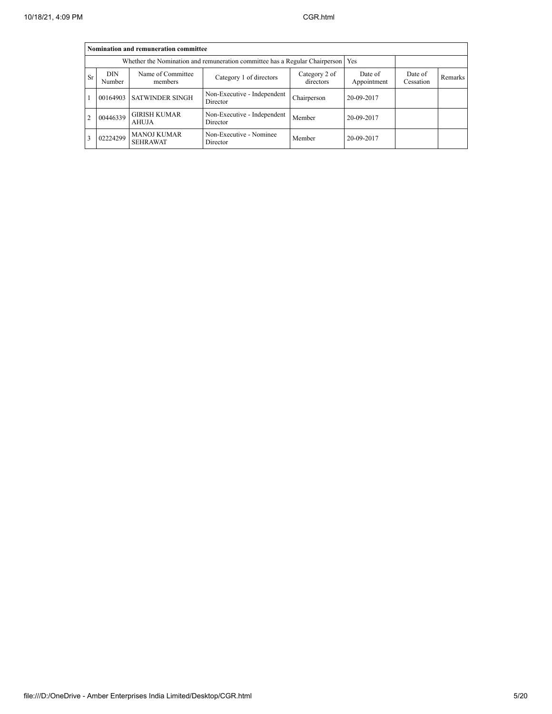|           | Nomination and remuneration committee |                                                                                   |                                         |                        |                      |                |  |  |  |  |  |
|-----------|---------------------------------------|-----------------------------------------------------------------------------------|-----------------------------------------|------------------------|----------------------|----------------|--|--|--|--|--|
|           |                                       | Whether the Nomination and remuneration committee has a Regular Chairperson   Yes |                                         |                        |                      |                |  |  |  |  |  |
| <b>Sr</b> | <b>DIN</b><br>Number                  | Name of Committee<br>members                                                      | Category 2 of<br>directors              | Date of<br>Appointment | Date of<br>Cessation | <b>Remarks</b> |  |  |  |  |  |
|           |                                       | 00164903 SATWINDER SINGH                                                          | Non-Executive - Independent<br>Director | Chairperson            | 20-09-2017           |                |  |  |  |  |  |
|           | 00446339                              | <b>GIRISH KUMAR</b><br><b>AHUJA</b>                                               | Non-Executive - Independent<br>Director | Member                 | 20-09-2017           |                |  |  |  |  |  |
|           | 02224299                              | <b>MANOJ KUMAR</b><br><b>SEHRAWAT</b>                                             | Non-Executive - Nominee<br>Director     | Member                 | 20-09-2017           |                |  |  |  |  |  |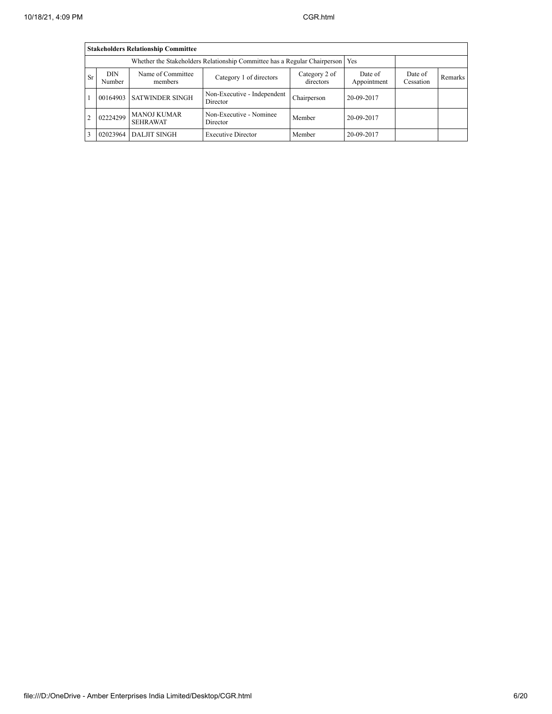|                                                                                                                                                                                   | <b>Stakeholders Relationship Committee</b> |                                       |                                         |             |            |  |  |  |  |  |  |
|-----------------------------------------------------------------------------------------------------------------------------------------------------------------------------------|--------------------------------------------|---------------------------------------|-----------------------------------------|-------------|------------|--|--|--|--|--|--|
|                                                                                                                                                                                   |                                            |                                       |                                         |             |            |  |  |  |  |  |  |
| Name of Committee<br><b>DIN</b><br>Date of<br>Category 2 of<br>Date of<br>-Sr<br>Category 1 of directors<br>Remarks<br>directors<br>Appointment<br>Number<br>Cessation<br>members |                                            |                                       |                                         |             |            |  |  |  |  |  |  |
|                                                                                                                                                                                   |                                            | 00164903 SATWINDER SINGH              | Non-Executive - Independent<br>Director | Chairperson | 20-09-2017 |  |  |  |  |  |  |
| $\overline{c}$                                                                                                                                                                    | 02224299                                   | <b>MANOJ KUMAR</b><br><b>SEHRAWAT</b> | Non-Executive - Nominee<br>Director     | Member      | 20-09-2017 |  |  |  |  |  |  |
|                                                                                                                                                                                   | 02023964                                   | <b>DALJIT SINGH</b>                   | <b>Executive Director</b>               | Member      | 20-09-2017 |  |  |  |  |  |  |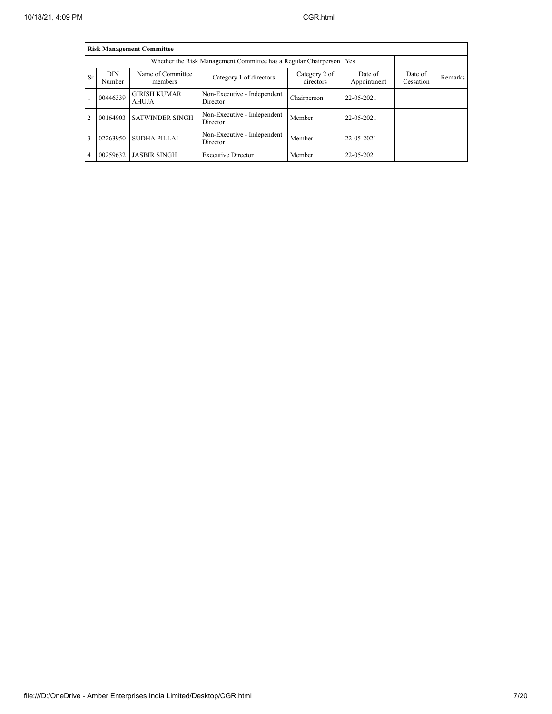|                                                                                                  | <b>Risk Management Committee</b>                                                     |                              |                                                                 |                      |            |  |  |  |  |  |  |
|--------------------------------------------------------------------------------------------------|--------------------------------------------------------------------------------------|------------------------------|-----------------------------------------------------------------|----------------------|------------|--|--|--|--|--|--|
|                                                                                                  |                                                                                      |                              | Whether the Risk Management Committee has a Regular Chairperson |                      | Yes        |  |  |  |  |  |  |
| Sr                                                                                               | <b>DIN</b><br>Number                                                                 | Name of Committee<br>members | Date of<br>Appointment                                          | Date of<br>Cessation | Remarks    |  |  |  |  |  |  |
|                                                                                                  | 00446339                                                                             | <b>GIRISH KUMAR</b><br>AHUJA | Non-Executive - Independent<br>Director                         | Chairperson          | 22-05-2021 |  |  |  |  |  |  |
| $\overline{c}$                                                                                   | 00164903                                                                             | <b>SATWINDER SINGH</b>       | Non-Executive - Independent<br>Director                         | Member               | 22-05-2021 |  |  |  |  |  |  |
| Non-Executive - Independent<br>SUDHA PILLAI<br>3<br>02263950<br>22-05-2021<br>Member<br>Director |                                                                                      |                              |                                                                 |                      |            |  |  |  |  |  |  |
| 4                                                                                                | <b>JASBIR SINGH</b><br>00259632<br><b>Executive Director</b><br>22-05-2021<br>Member |                              |                                                                 |                      |            |  |  |  |  |  |  |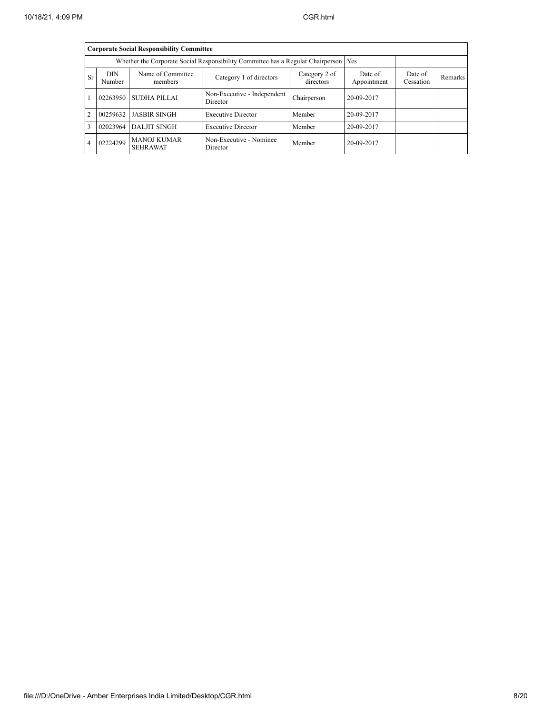|                | <b>Corporate Social Responsibility Committee</b> |                                       |                                                                                 |                        |                      |         |  |  |  |  |  |
|----------------|--------------------------------------------------|---------------------------------------|---------------------------------------------------------------------------------|------------------------|----------------------|---------|--|--|--|--|--|
|                |                                                  |                                       | Whether the Corporate Social Responsibility Committee has a Regular Chairperson |                        | Yes                  |         |  |  |  |  |  |
| Sr             | <b>DIN</b><br>Number                             | Name of Committee<br>members          | Category 2 of<br>directors                                                      | Date of<br>Appointment | Date of<br>Cessation | Remarks |  |  |  |  |  |
|                | 02263950                                         | SUDHA PILLAI                          | Non-Executive - Independent<br>Director                                         | Chairperson            | 20-09-2017           |         |  |  |  |  |  |
| $\overline{c}$ | 00259632                                         | <b>JASBIR SINGH</b>                   | <b>Executive Director</b>                                                       | Member                 | 20-09-2017           |         |  |  |  |  |  |
| 3              | 02023964                                         | <b>DALJIT SINGH</b>                   | <b>Executive Director</b>                                                       | Member                 | 20-09-2017           |         |  |  |  |  |  |
| 4              | 02224299                                         | <b>MANOJ KUMAR</b><br><b>SEHRAWAT</b> | Non-Executive - Nominee<br>Director                                             | Member                 | 20-09-2017           |         |  |  |  |  |  |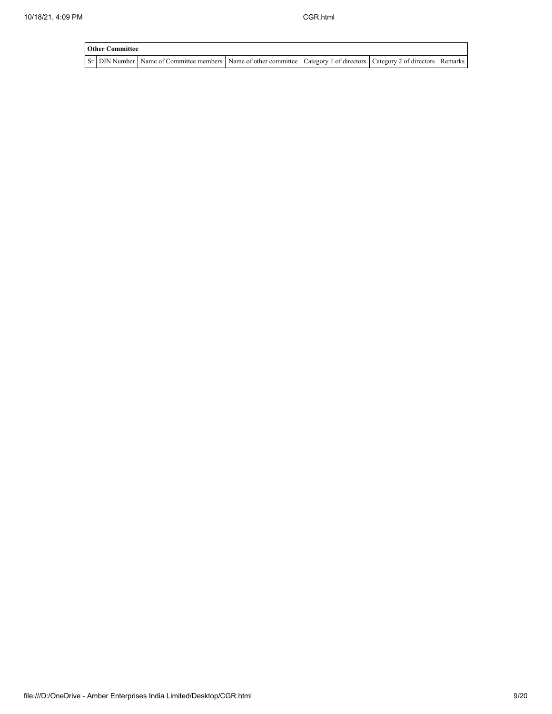| <b>Other Committee</b> |                                                                                                                         |  |  |  |  |  |  |  |  |
|------------------------|-------------------------------------------------------------------------------------------------------------------------|--|--|--|--|--|--|--|--|
|                        | Sr DIN Number Name of Committee members Name of other committee Category 1 of directors Category 2 of directors Remarks |  |  |  |  |  |  |  |  |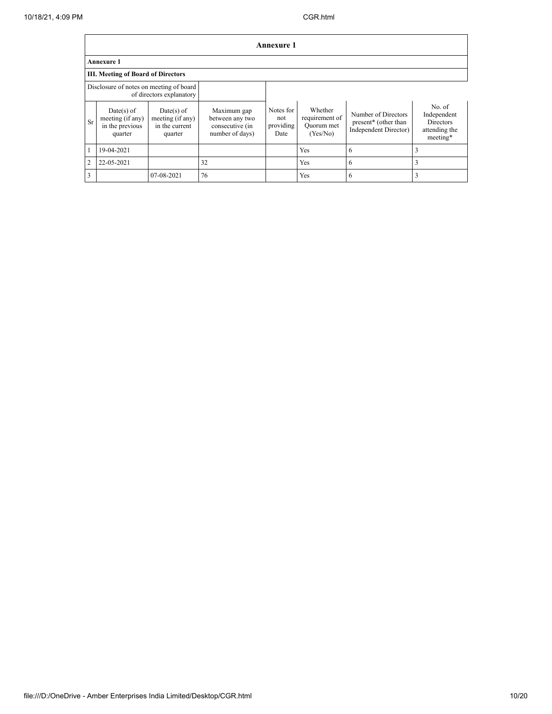|                |                                                                |                                                             |                                                                      | Annexure 1                            |                                                     |                                                                      |                                                                        |  |  |  |  |
|----------------|----------------------------------------------------------------|-------------------------------------------------------------|----------------------------------------------------------------------|---------------------------------------|-----------------------------------------------------|----------------------------------------------------------------------|------------------------------------------------------------------------|--|--|--|--|
|                | <b>Annexure 1</b>                                              |                                                             |                                                                      |                                       |                                                     |                                                                      |                                                                        |  |  |  |  |
|                | <b>III. Meeting of Board of Directors</b>                      |                                                             |                                                                      |                                       |                                                     |                                                                      |                                                                        |  |  |  |  |
|                | Disclosure of notes on meeting of board                        | of directors explanatory                                    |                                                                      |                                       |                                                     |                                                                      |                                                                        |  |  |  |  |
| Sr             | $Date(s)$ of<br>meeting (if any)<br>in the previous<br>quarter | Date(s) of<br>meeting (if any)<br>in the current<br>quarter | Maximum gap<br>between any two<br>consecutive (in<br>number of days) | Notes for<br>not<br>providing<br>Date | Whether<br>requirement of<br>Quorum met<br>(Yes/No) | Number of Directors<br>present* (other than<br>Independent Director) | No. of<br>Independent<br><b>Directors</b><br>attending the<br>meeting* |  |  |  |  |
|                | 19-04-2021                                                     |                                                             |                                                                      |                                       | <b>Yes</b>                                          | 6                                                                    |                                                                        |  |  |  |  |
| $\overline{2}$ | 22-05-2021                                                     |                                                             | 32                                                                   |                                       | <b>Yes</b>                                          | 6                                                                    | 3                                                                      |  |  |  |  |
| 3              |                                                                | 07-08-2021                                                  | 76                                                                   |                                       | <b>Yes</b>                                          | 6                                                                    |                                                                        |  |  |  |  |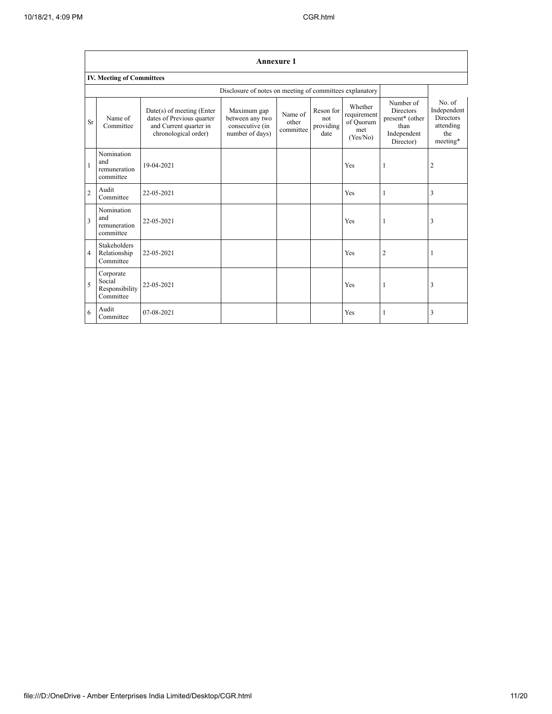|                | <b>Annexure 1</b>                                  |                                                                                                            |                                                                      |                               |                                       |                                                        |                                                                                      |                                                                           |  |  |  |
|----------------|----------------------------------------------------|------------------------------------------------------------------------------------------------------------|----------------------------------------------------------------------|-------------------------------|---------------------------------------|--------------------------------------------------------|--------------------------------------------------------------------------------------|---------------------------------------------------------------------------|--|--|--|
|                | <b>IV. Meeting of Committees</b>                   |                                                                                                            |                                                                      |                               |                                       |                                                        |                                                                                      |                                                                           |  |  |  |
|                |                                                    |                                                                                                            | Disclosure of notes on meeting of committees explanatory             |                               |                                       |                                                        |                                                                                      |                                                                           |  |  |  |
| Sr             | Name of<br>Committee                               | $Date(s)$ of meeting (Enter<br>dates of Previous quarter<br>and Current quarter in<br>chronological order) | Maximum gap<br>between any two<br>consecutive (in<br>number of days) | Name of<br>other<br>committee | Reson for<br>not<br>providing<br>date | Whether<br>requirement<br>of Quorum<br>met<br>(Yes/No) | Number of<br><b>Directors</b><br>present* (other<br>than<br>Independent<br>Director) | No. of<br>Independent<br><b>Directors</b><br>attending<br>the<br>meeting* |  |  |  |
| $\mathbf{1}$   | Nomination<br>and<br>remuneration<br>committee     | 19-04-2021                                                                                                 |                                                                      |                               |                                       | Yes                                                    | 1                                                                                    | 2                                                                         |  |  |  |
| $\overline{2}$ | Audit<br>Committee                                 | 22-05-2021                                                                                                 |                                                                      |                               |                                       | Yes                                                    | 1                                                                                    | 3                                                                         |  |  |  |
| 3              | Nomination<br>and<br>remuneration<br>committee     | 22-05-2021                                                                                                 |                                                                      |                               |                                       | Yes                                                    | 1                                                                                    | 3                                                                         |  |  |  |
| $\overline{4}$ | <b>Stakeholders</b><br>Relationship<br>Committee   | 22-05-2021                                                                                                 |                                                                      |                               |                                       | Yes                                                    | 2                                                                                    | 1                                                                         |  |  |  |
| 5              | Corporate<br>Social<br>Responsibility<br>Committee | 22-05-2021                                                                                                 |                                                                      |                               |                                       | Yes                                                    | 1                                                                                    | 3                                                                         |  |  |  |
| 6              | Audit<br>Committee                                 | 07-08-2021                                                                                                 |                                                                      |                               |                                       | Yes                                                    | 1                                                                                    | 3                                                                         |  |  |  |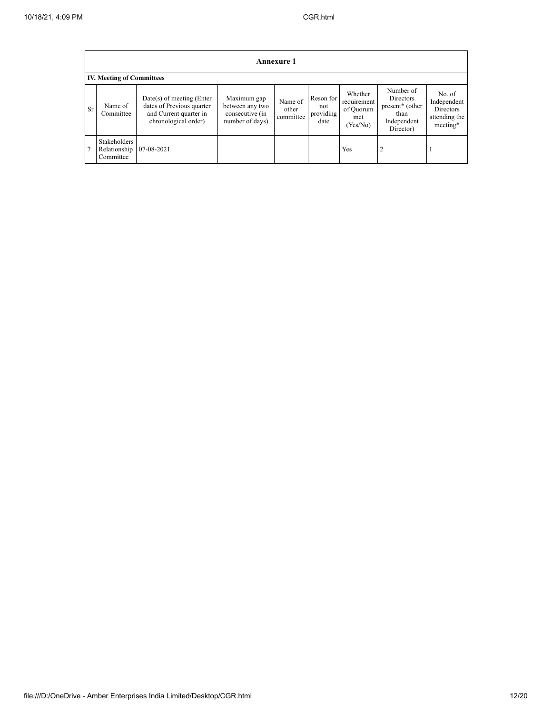|           | <b>Annexure 1</b>                         |                                                                                                            |                                                                      |                               |                                       |                                                        |                                                                                           |                                                                 |  |  |  |  |
|-----------|-------------------------------------------|------------------------------------------------------------------------------------------------------------|----------------------------------------------------------------------|-------------------------------|---------------------------------------|--------------------------------------------------------|-------------------------------------------------------------------------------------------|-----------------------------------------------------------------|--|--|--|--|
|           | <b>IV. Meeting of Committees</b>          |                                                                                                            |                                                                      |                               |                                       |                                                        |                                                                                           |                                                                 |  |  |  |  |
| <b>Sr</b> | Name of<br>Committee                      | $Date(s)$ of meeting (Enter<br>dates of Previous quarter<br>and Current quarter in<br>chronological order) | Maximum gap<br>between any two<br>consecutive (in<br>number of days) | Name of<br>other<br>committee | Reson for<br>not<br>providing<br>date | Whether<br>requirement<br>of Quorum<br>met<br>(Yes/No) | Number of<br>Directors<br>present <sup>*</sup> (other<br>than<br>Independent<br>Director) | No. of<br>Independent<br>Directors<br>attending the<br>meeting* |  |  |  |  |
|           | Stakeholders<br>Relationship<br>Committee | 07-08-2021                                                                                                 |                                                                      |                               |                                       | Yes                                                    |                                                                                           |                                                                 |  |  |  |  |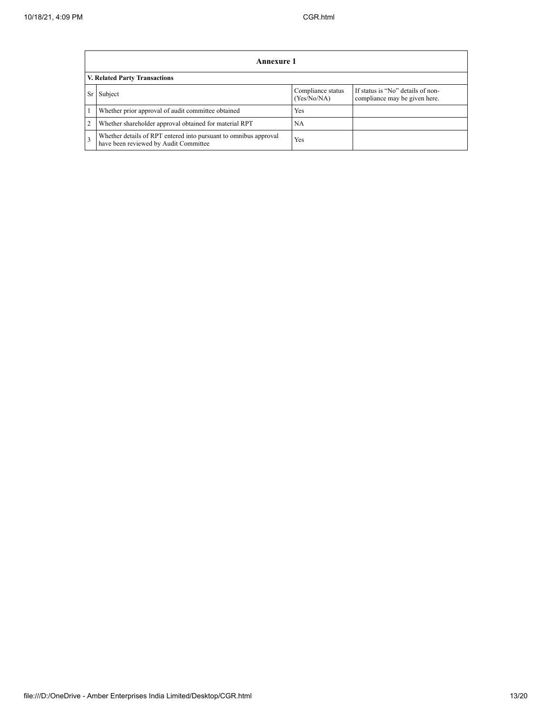F

|    | <b>Annexure 1</b>                                                                                         |                                  |                                                                    |  |
|----|-----------------------------------------------------------------------------------------------------------|----------------------------------|--------------------------------------------------------------------|--|
|    | V. Related Party Transactions                                                                             |                                  |                                                                    |  |
| Sr | Subject                                                                                                   | Compliance status<br>(Yes/No/NA) | If status is "No" details of non-<br>compliance may be given here. |  |
|    | Whether prior approval of audit committee obtained                                                        | Yes                              |                                                                    |  |
| 2  | Whether shareholder approval obtained for material RPT                                                    | NA                               |                                                                    |  |
| 3  | Whether details of RPT entered into pursuant to omnibus approval<br>have been reviewed by Audit Committee | Yes                              |                                                                    |  |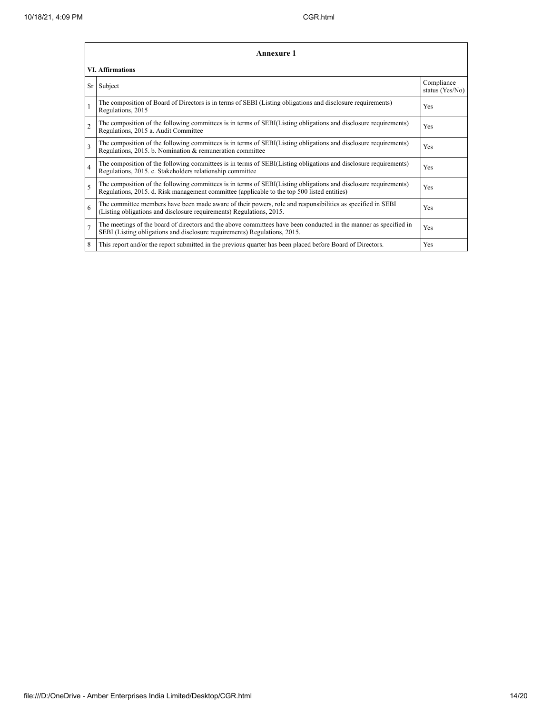|                          | <b>Annexure 1</b>                                                                                                                                                                                               |                               |  |  |  |
|--------------------------|-----------------------------------------------------------------------------------------------------------------------------------------------------------------------------------------------------------------|-------------------------------|--|--|--|
|                          | <b>VI. Affirmations</b>                                                                                                                                                                                         |                               |  |  |  |
| Sr                       | Subject                                                                                                                                                                                                         | Compliance<br>status (Yes/No) |  |  |  |
|                          | The composition of Board of Directors is in terms of SEBI (Listing obligations and disclosure requirements)<br>Regulations, 2015                                                                                | Yes                           |  |  |  |
| $\mathfrak{D}$           | The composition of the following committees is in terms of SEBI(Listing obligations and disclosure requirements)<br>Regulations, 2015 a. Audit Committee                                                        | Yes                           |  |  |  |
| $\overline{\mathbf{3}}$  | The composition of the following committees is in terms of SEBI(Listing obligations and disclosure requirements)<br>Regulations, 2015. b. Nomination & remuneration committee                                   | Yes                           |  |  |  |
| $\overline{4}$           | The composition of the following committees is in terms of SEBI(Listing obligations and disclosure requirements)<br>Regulations, 2015. c. Stakeholders relationship committee                                   | Yes                           |  |  |  |
| $\overline{\phantom{0}}$ | The composition of the following committees is in terms of SEBI(Listing obligations and disclosure requirements)<br>Regulations, 2015. d. Risk management committee (applicable to the top 500 listed entities) | Yes                           |  |  |  |
| 6                        | The committee members have been made aware of their powers, role and responsibilities as specified in SEBI<br>(Listing obligations and disclosure requirements) Regulations, 2015.                              | Yes                           |  |  |  |
| $\overline{7}$           | The meetings of the board of directors and the above committees have been conducted in the manner as specified in<br>SEBI (Listing obligations and disclosure requirements) Regulations, 2015.                  | Yes                           |  |  |  |
| 8                        | This report and/or the report submitted in the previous quarter has been placed before Board of Directors.                                                                                                      | Yes                           |  |  |  |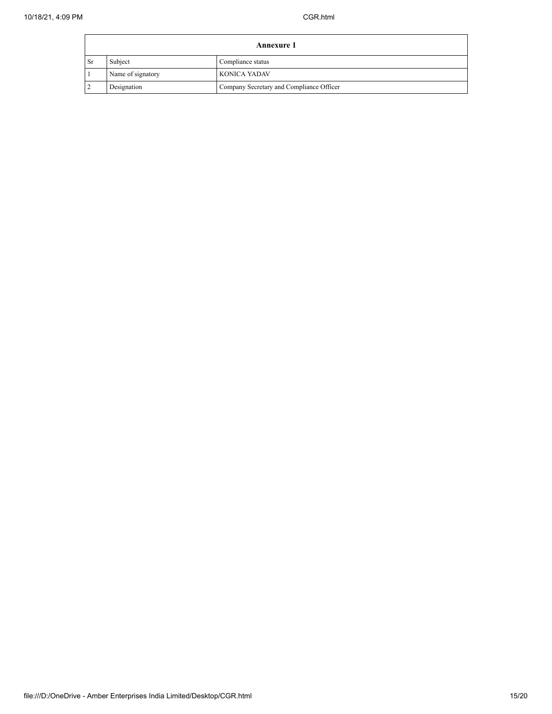$\mathbf{r}$ 

| <b>Annexure 1</b> |                   |                                          |
|-------------------|-------------------|------------------------------------------|
| ∣ Sr              | Subject           | Compliance status                        |
|                   | Name of signatory | KONICA YADAV                             |
|                   | Designation       | Company Secretary and Compliance Officer |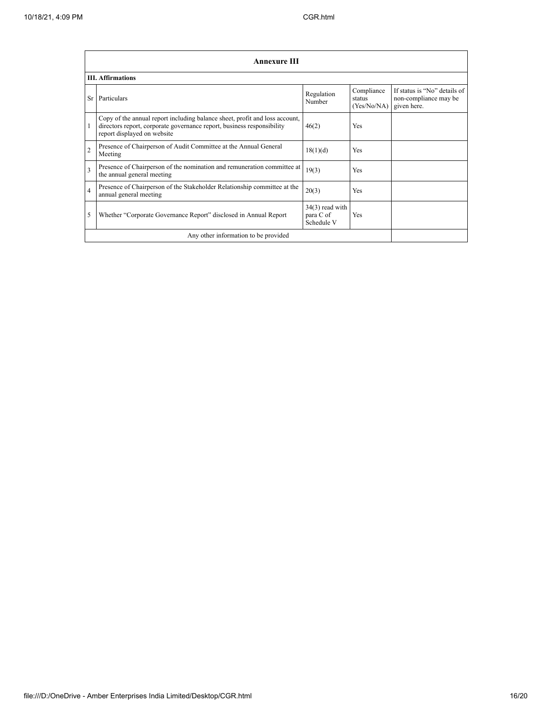|                | Annexure III                                                                                                                                                                         |                                              |                                     |                                                                      |
|----------------|--------------------------------------------------------------------------------------------------------------------------------------------------------------------------------------|----------------------------------------------|-------------------------------------|----------------------------------------------------------------------|
|                | <b>III.</b> Affirmations                                                                                                                                                             |                                              |                                     |                                                                      |
| <b>Sr</b>      | Particulars                                                                                                                                                                          | Regulation<br>Number                         | Compliance<br>status<br>(Yes/No/NA) | If status is "No" details of<br>non-compliance may be<br>given here. |
| 1              | Copy of the annual report including balance sheet, profit and loss account,<br>directors report, corporate governance report, business responsibility<br>report displayed on website | 46(2)                                        | <b>Yes</b>                          |                                                                      |
| $\overline{2}$ | Presence of Chairperson of Audit Committee at the Annual General<br>Meeting                                                                                                          | 18(1)(d)                                     | <b>Yes</b>                          |                                                                      |
| 3              | Presence of Chairperson of the nomination and remuneration committee at<br>the annual general meeting                                                                                | 19(3)                                        | <b>Yes</b>                          |                                                                      |
| $\overline{4}$ | Presence of Chairperson of the Stakeholder Relationship committee at the<br>annual general meeting                                                                                   | 20(3)                                        | <b>Yes</b>                          |                                                                      |
| 5              | Whether "Corporate Governance Report" disclosed in Annual Report                                                                                                                     | $34(3)$ read with<br>para C of<br>Schedule V | <b>Yes</b>                          |                                                                      |
|                | Any other information to be provided                                                                                                                                                 |                                              |                                     |                                                                      |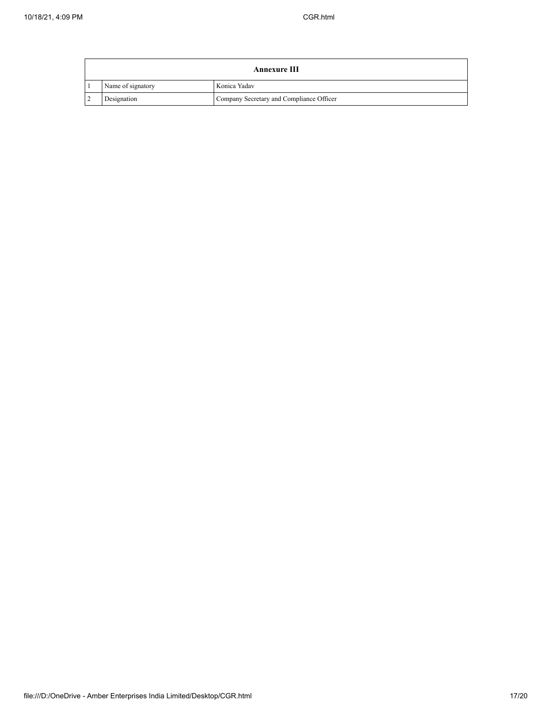|                | <b>Annexure III</b> |                                          |  |
|----------------|---------------------|------------------------------------------|--|
|                | Name of signatory   | Konica Yadav                             |  |
| $\overline{2}$ | Designation         | Company Secretary and Compliance Officer |  |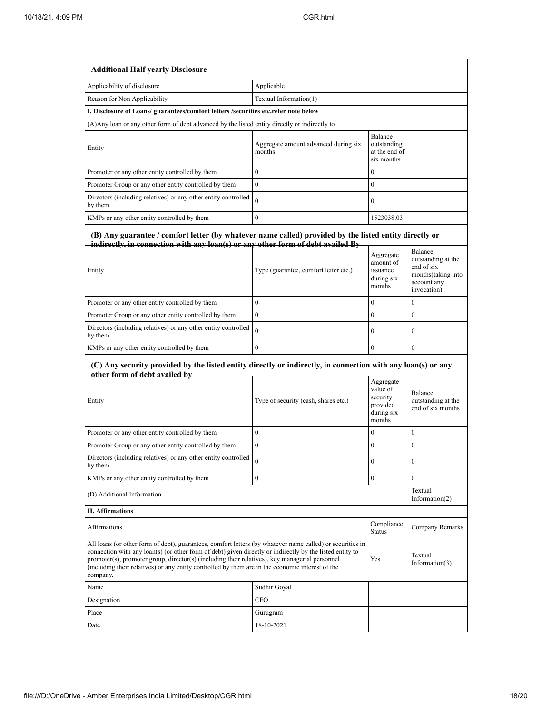| <b>Additional Half yearly Disclosure</b>                                                                                                                                                                                                                                                                                                                                                                                                                  |                                                |                                                                       |                                                                                                 |
|-----------------------------------------------------------------------------------------------------------------------------------------------------------------------------------------------------------------------------------------------------------------------------------------------------------------------------------------------------------------------------------------------------------------------------------------------------------|------------------------------------------------|-----------------------------------------------------------------------|-------------------------------------------------------------------------------------------------|
| Applicability of disclosure                                                                                                                                                                                                                                                                                                                                                                                                                               | Applicable                                     |                                                                       |                                                                                                 |
| Reason for Non Applicability                                                                                                                                                                                                                                                                                                                                                                                                                              | Textual Information(1)                         |                                                                       |                                                                                                 |
| I. Disclosure of Loans/ guarantees/comfort letters /securities etc.refer note below                                                                                                                                                                                                                                                                                                                                                                       |                                                |                                                                       |                                                                                                 |
| (A) Any loan or any other form of debt advanced by the listed entity directly or indirectly to                                                                                                                                                                                                                                                                                                                                                            |                                                |                                                                       |                                                                                                 |
| Entity                                                                                                                                                                                                                                                                                                                                                                                                                                                    | Aggregate amount advanced during six<br>months | Balance<br>outstanding<br>at the end of<br>six months                 |                                                                                                 |
| Promoter or any other entity controlled by them                                                                                                                                                                                                                                                                                                                                                                                                           | $\overline{0}$                                 | $\mathbf{0}$                                                          |                                                                                                 |
| Promoter Group or any other entity controlled by them                                                                                                                                                                                                                                                                                                                                                                                                     | $\mathbf{0}$                                   | $\mathbf{0}$                                                          |                                                                                                 |
| Directors (including relatives) or any other entity controlled<br>by them                                                                                                                                                                                                                                                                                                                                                                                 | $\alpha$                                       | $\mathbf{0}$                                                          |                                                                                                 |
| KMPs or any other entity controlled by them                                                                                                                                                                                                                                                                                                                                                                                                               | $\theta$                                       | 1523038.03                                                            |                                                                                                 |
| (B) Any guarantee / comfort letter (by whatever name called) provided by the listed entity directly or<br>indirectly, in connection with any loan(s) or any other form of debt availed By<br>Entity                                                                                                                                                                                                                                                       | Type (guarantee, comfort letter etc.)          | Aggregate<br>amount of<br>issuance<br>during six<br>months            | Balance<br>outstanding at the<br>end of six<br>months(taking into<br>account any<br>invocation) |
| Promoter or any other entity controlled by them                                                                                                                                                                                                                                                                                                                                                                                                           | $\overline{0}$                                 | $\mathbf{0}$                                                          | 0                                                                                               |
| Promoter Group or any other entity controlled by them                                                                                                                                                                                                                                                                                                                                                                                                     | $\mathbf{0}$                                   | $\overline{0}$                                                        | $\mathbf{0}$                                                                                    |
| Directors (including relatives) or any other entity controlled<br>by them                                                                                                                                                                                                                                                                                                                                                                                 | $\overline{0}$                                 | $\mathbf{0}$                                                          | $\boldsymbol{0}$                                                                                |
| KMPs or any other entity controlled by them                                                                                                                                                                                                                                                                                                                                                                                                               | $\overline{0}$                                 | $\overline{0}$                                                        | $\boldsymbol{0}$                                                                                |
| (C) Any security provided by the listed entity directly or indirectly, in connection with any loan(s) or any<br>other form of debt availed by                                                                                                                                                                                                                                                                                                             |                                                |                                                                       |                                                                                                 |
| Entity                                                                                                                                                                                                                                                                                                                                                                                                                                                    | Type of security (cash, shares etc.)           | Aggregate<br>value of<br>security<br>provided<br>during six<br>months | Balance<br>outstanding at the<br>end of six months                                              |
| Promoter or any other entity controlled by them                                                                                                                                                                                                                                                                                                                                                                                                           | $\overline{0}$                                 | $\mathbf{0}$                                                          | $\mathbf{0}$                                                                                    |
| Promoter Group or any other entity controlled by them                                                                                                                                                                                                                                                                                                                                                                                                     | $\overline{0}$                                 | $\overline{0}$                                                        | $\boldsymbol{0}$                                                                                |
| Directors (including relatives) or any other entity controlled<br>by them                                                                                                                                                                                                                                                                                                                                                                                 |                                                | $\bf{0}$                                                              | $\boldsymbol{0}$                                                                                |
| KMPs or any other entity controlled by them                                                                                                                                                                                                                                                                                                                                                                                                               | $\overline{0}$                                 | 0                                                                     | $\boldsymbol{0}$                                                                                |
| (D) Additional Information                                                                                                                                                                                                                                                                                                                                                                                                                                |                                                |                                                                       | Textual<br>Information $(2)$                                                                    |
| <b>II. Affirmations</b>                                                                                                                                                                                                                                                                                                                                                                                                                                   |                                                |                                                                       |                                                                                                 |
| Affirmations                                                                                                                                                                                                                                                                                                                                                                                                                                              |                                                | Compliance<br><b>Status</b>                                           | Company Remarks                                                                                 |
| All loans (or other form of debt), guarantees, comfort letters (by whatever name called) or securities in<br>connection with any loan(s) (or other form of debt) given directly or indirectly by the listed entity to<br>Textual<br>promoter(s), promoter group, director(s) (including their relatives), key managerial personnel<br>Yes<br>(including their relatives) or any entity controlled by them are in the economic interest of the<br>company. |                                                |                                                                       | Information(3)                                                                                  |
| Name                                                                                                                                                                                                                                                                                                                                                                                                                                                      | Sudhir Goyal                                   |                                                                       |                                                                                                 |
| Designation                                                                                                                                                                                                                                                                                                                                                                                                                                               | CFO                                            |                                                                       |                                                                                                 |
| Place                                                                                                                                                                                                                                                                                                                                                                                                                                                     | Gurugram                                       |                                                                       |                                                                                                 |
| Date                                                                                                                                                                                                                                                                                                                                                                                                                                                      | 18-10-2021                                     |                                                                       |                                                                                                 |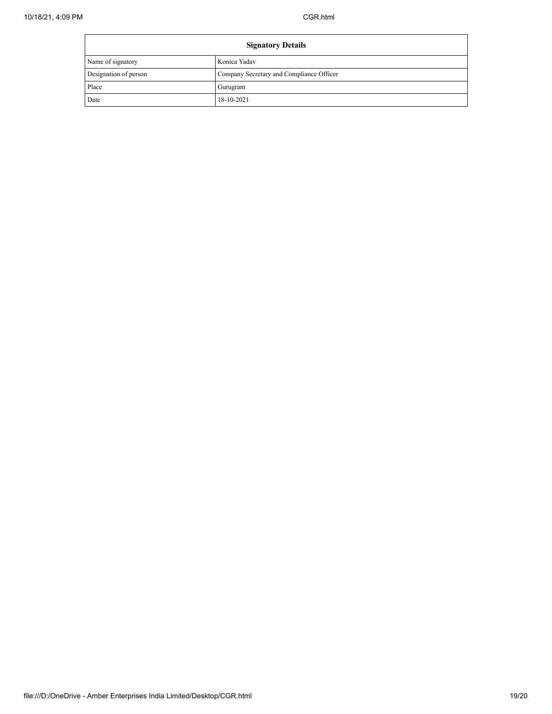| <b>Signatory Details</b> |                                          |
|--------------------------|------------------------------------------|
| Name of signatory        | Konica Yadav                             |
| Designation of person    | Company Secretary and Compliance Officer |
| Place                    | Gurugram                                 |
| Date                     | 18-10-2021                               |